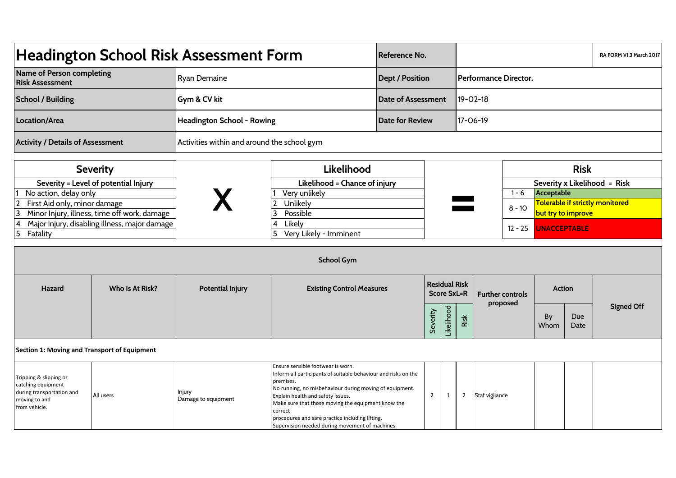| Headington School Risk Assessment Form                                                                                   |                                               |                                             |                                                                                                                                                                                                                                                                                                                                                                                        | Reference No.                              |                           |                  |                       |                |                         |                                                       | RA FORM V1.3 March 2017 |                              |  |  |
|--------------------------------------------------------------------------------------------------------------------------|-----------------------------------------------|---------------------------------------------|----------------------------------------------------------------------------------------------------------------------------------------------------------------------------------------------------------------------------------------------------------------------------------------------------------------------------------------------------------------------------------------|--------------------------------------------|---------------------------|------------------|-----------------------|----------------|-------------------------|-------------------------------------------------------|-------------------------|------------------------------|--|--|
| Name of Person completing<br><b>Risk Assessment</b>                                                                      |                                               | <b>Ryan Demaine</b>                         |                                                                                                                                                                                                                                                                                                                                                                                        |                                            | <b>Dept / Position</b>    |                  | Performance Director. |                |                         |                                                       |                         |                              |  |  |
| <b>School / Building</b>                                                                                                 |                                               | Gym & CV kit                                |                                                                                                                                                                                                                                                                                                                                                                                        |                                            | <b>Date of Assessment</b> |                  |                       | 19-02-18       |                         |                                                       |                         |                              |  |  |
| Location/Area                                                                                                            |                                               | Headington School - Rowing                  |                                                                                                                                                                                                                                                                                                                                                                                        |                                            | Date for Review           |                  |                       | 17-06-19       |                         |                                                       |                         |                              |  |  |
| <b>Activity / Details of Assessment</b>                                                                                  |                                               | Activities within and around the school gym |                                                                                                                                                                                                                                                                                                                                                                                        |                                            |                           |                  |                       |                |                         |                                                       |                         |                              |  |  |
| <b>Severity</b><br>Severity = Level of potential Injury                                                                  |                                               |                                             | Likelihood<br>Likelihood = Chance of injury                                                                                                                                                                                                                                                                                                                                            |                                            |                           |                  |                       |                |                         |                                                       | <b>Risk</b>             | Severity x Likelihood = Risk |  |  |
| No action, delay only                                                                                                    |                                               |                                             | Very unlikely                                                                                                                                                                                                                                                                                                                                                                          |                                            |                           |                  |                       |                | $1 - 6$                 | Acceptable                                            |                         |                              |  |  |
| $\mathbf{2}$<br>First Aid only, minor damage<br>3                                                                        | Minor Injury, illness, time off work, damage  |                                             | Unlikely<br>$\mathbf{2}$<br>3<br>Possible                                                                                                                                                                                                                                                                                                                                              |                                            |                           |                  |                       |                | $8 - 10$                | Tolerable if strictly monitored<br>but try to improve |                         |                              |  |  |
| 4<br>$\overline{5}$<br>Fatality                                                                                          | Major injury, disabling illness, major damage |                                             | 4<br>Likely<br>Very Likely - Imminent<br>5                                                                                                                                                                                                                                                                                                                                             |                                            |                           |                  |                       |                | $12 - 25$               | <b>UNACCEPTABLE</b>                                   |                         |                              |  |  |
|                                                                                                                          |                                               |                                             | <b>School Gym</b>                                                                                                                                                                                                                                                                                                                                                                      |                                            |                           |                  |                       |                |                         |                                                       |                         |                              |  |  |
| Hazard                                                                                                                   | Who Is At Risk?                               | <b>Potential Injury</b>                     | <b>Existing Control Measures</b>                                                                                                                                                                                                                                                                                                                                                       | <b>Residual Risk</b><br><b>Score SxL=R</b> |                           |                  |                       |                | <b>Further controls</b> | <b>Action</b>                                         |                         |                              |  |  |
|                                                                                                                          |                                               |                                             |                                                                                                                                                                                                                                                                                                                                                                                        |                                            |                           | <b>ikelihood</b> | Risk                  |                | proposed                | By<br>Whom                                            | Due<br>Date             | <b>Signed Off</b>            |  |  |
| Section 1: Moving and Transport of Equipment                                                                             |                                               |                                             |                                                                                                                                                                                                                                                                                                                                                                                        |                                            |                           |                  |                       |                |                         |                                                       |                         |                              |  |  |
| Tripping & slipping or<br>catching equipment<br>during transportation and<br>All users<br>moving to and<br>from vehicle. |                                               | Injury<br>Damage to equipment               | Ensure sensible footwear is worn.<br>Inform all participants of suitable behaviour and risks on the<br>premises.<br>No running, no misbehaviour during moving of equipment.<br>Explain health and safety issues.<br>Make sure that those moving the equipment know the<br>correct<br>procedures and safe practice including lifting.<br>Supervision needed during movement of machines |                                            | $\overline{2}$            |                  | $\overline{2}$        | Staf vigilance |                         |                                                       |                         |                              |  |  |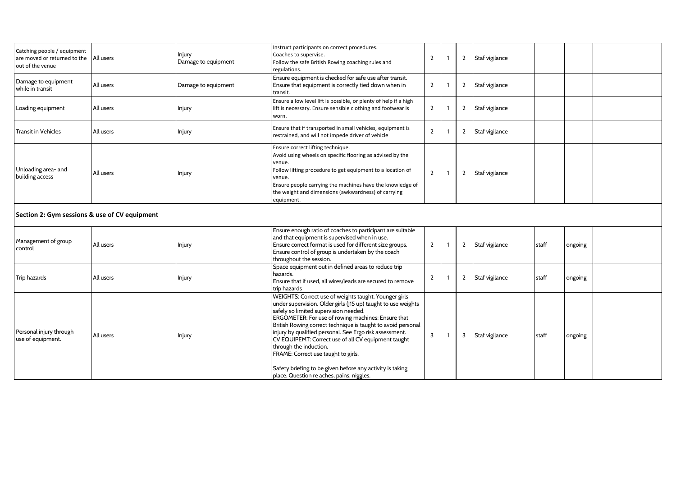| Catching people / equipment<br>are moved or returned to the   All users<br>out of the venue |           | Injury<br>Damage to equipment | Instruct participants on correct procedures.<br>Coaches to supervise.<br>Follow the safe British Rowing coaching rules and<br>regulations.                                                                                                                                                                         |                |   | Staf vigilance |  |  |
|---------------------------------------------------------------------------------------------|-----------|-------------------------------|--------------------------------------------------------------------------------------------------------------------------------------------------------------------------------------------------------------------------------------------------------------------------------------------------------------------|----------------|---|----------------|--|--|
| Damage to equipment<br>while in transit                                                     | All users | Damage to equipment           | Ensure equipment is checked for safe use after transit.<br>Ensure that equipment is correctly tied down when in<br>transit.                                                                                                                                                                                        | $\overline{2}$ | 2 | Staf vigilance |  |  |
| Loading equipment                                                                           | All users | Injury                        | Ensure a low level lift is possible, or plenty of help if a high<br>lift is necessary. Ensure sensible clothing and footwear is<br>worn.                                                                                                                                                                           | $\mathbf{2}$   | 2 | Staf vigilance |  |  |
| <b>Transit in Vehicles</b>                                                                  | All users | Injury                        | Ensure that if transported in small vehicles, equipment is<br>restrained, and will not impede driver of vehicle                                                                                                                                                                                                    | $\overline{2}$ |   | Staf vigilance |  |  |
| Unloading area- and<br>building access                                                      | All users | Injury                        | Ensure correct lifting technique.<br>Avoid using wheels on specific flooring as advised by the<br>venue.<br>Follow lifting procedure to get equipment to a location of<br>venue.<br>Ensure people carrying the machines have the knowledge of<br>the weight and dimensions (awkwardness) of carrying<br>equipment. | $\overline{2}$ |   | Staf vigilance |  |  |
| Section 2: Gym sessions & use of CV equipment                                               |           |                               |                                                                                                                                                                                                                                                                                                                    |                |   |                |  |  |
|                                                                                             |           |                               | Ensure enough ratio of coaches to participant are suitable<br>and that equipment is supervised when in use                                                                                                                                                                                                         |                |   |                |  |  |

| Management of group<br>control               | All users | Injury | Ensure enough ratio of coaches to participant are suitable<br>and that equipment is supervised when in use.<br>Ensure correct format is used for different size groups.<br>Ensure control of group is undertaken by the coach<br>throughout the session.                                                                                                                                                                                                                                                                                                                           | $\overline{2}$ |   | Staf vigilance | staff   | ongoing |  |
|----------------------------------------------|-----------|--------|------------------------------------------------------------------------------------------------------------------------------------------------------------------------------------------------------------------------------------------------------------------------------------------------------------------------------------------------------------------------------------------------------------------------------------------------------------------------------------------------------------------------------------------------------------------------------------|----------------|---|----------------|---------|---------|--|
| Trip hazards                                 | All users | Injury | Space equipment out in defined areas to reduce trip<br>hazards.<br>Ensure that if used, all wires/leads are secured to remove<br>trip hazards                                                                                                                                                                                                                                                                                                                                                                                                                                      | $\overline{2}$ |   | Staf vigilance | l staff | ongoing |  |
| Personal injury through<br>use of equipment. | All users | Injury | WEIGHTS: Correct use of weights taught. Younger girls<br>under supervision. Older girls (J15 up) taught to use weights<br>safely so limited supervision needed.<br>ERGOMETER: For use of rowing machines: Ensure that<br>British Rowing correct technique is taught to avoid personal<br>injury by qualified personal. See Ergo risk assessment.<br>CV EQUIPEMT: Correct use of all CV equipment taught<br>through the induction.<br>FRAME: Correct use taught to girls.<br>Safety briefing to be given before any activity is taking<br>place. Question re aches, pains, niggles. | $\overline{3}$ | 3 | Staf vigilance | staff   | ongoing |  |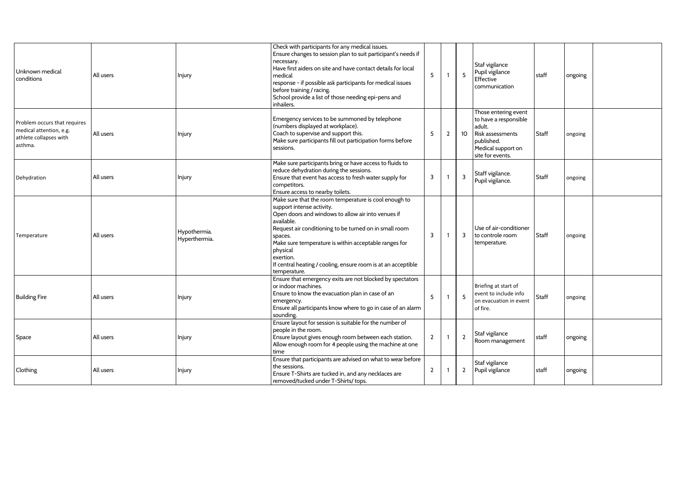| Unknown medical<br>conditions                                                                | All users | Injury                        | Check with participants for any medical issues.<br>Ensure changes to session plan to suit participant's needs if<br>necessary.<br>Have first aiders on site and have contact details for local<br>medical<br>response - if possible ask participants for medical issues<br>before training / racing.<br>School provide a list of those needing epi-pens and<br>inhailers.                      | 5              | $\overline{1}$           | 5               | Staf vigilance<br>Pupil vigilance<br>Effective<br>communication                                                                     | staff        | ongoing |  |
|----------------------------------------------------------------------------------------------|-----------|-------------------------------|------------------------------------------------------------------------------------------------------------------------------------------------------------------------------------------------------------------------------------------------------------------------------------------------------------------------------------------------------------------------------------------------|----------------|--------------------------|-----------------|-------------------------------------------------------------------------------------------------------------------------------------|--------------|---------|--|
| Problem occurs that requires<br>medical attention, e.g.<br>athlete collapses with<br>asthma. | All users | Injury                        | Emergency services to be summoned by telephone<br>(numbers displayed at workplace).<br>Coach to supervise and support this.<br>Make sure participants fill out participation forms before<br>sessions.                                                                                                                                                                                         | 5              | $\overline{2}$           | 10 <sup>°</sup> | Those entering event<br>to have a responsible<br>adult.<br>Risk assessments<br>published.<br>Medical support on<br>site for events. | Staff        | ongoing |  |
| Dehydration                                                                                  | All users | Injury                        | Make sure participants bring or have access to fluids to<br>reduce dehydration during the sessions.<br>Ensure that event has access to fresh water supply for<br>competitors.<br>Ensure access to nearby toilets.                                                                                                                                                                              | 3              | $\overline{\phantom{0}}$ | 3               | Staff vigilance.<br>Pupil vigilance.                                                                                                | Staff        | ongoing |  |
| Temperature                                                                                  | All users | Hypothermia.<br>Hyperthermia. | Make sure that the room temperature is cool enough to<br>support intense activity.<br>Open doors and windows to allow air into venues if<br>available.<br>Request air conditioning to be turned on in small room<br>spaces.<br>Make sure temperature is within acceptable ranges for<br>physical<br>exertion.<br>If central heating / cooling, ensure room is at an acceptible<br>temperature. | 3              | $\overline{1}$           | 3               | Use of air-conditioner<br>to controle room<br>temperature.                                                                          | <b>Staff</b> | ongoing |  |
| <b>Building Fire</b>                                                                         | All users | Injury                        | Ensure that emergency exits are not blocked by spectators<br>or indoor machines.<br>Ensure to know the evacuation plan in case of an<br>emergency.<br>Ensure all participants know where to go in case of an alarm<br>sounding.                                                                                                                                                                | 5              | $\overline{1}$           | 5               | Briefing at start of<br>event to include info<br>on evacuation in event<br>of fire.                                                 | Staff        | ongoing |  |
| Space                                                                                        | All users | Injury                        | Ensure layout for session is suitable for the number of<br>people in the room.<br>Ensure layout gives enough room between each station.<br>Allow enough room for 4 people using the machine at one<br>time                                                                                                                                                                                     | $\overline{2}$ | $\overline{\mathbf{1}}$  | $\overline{2}$  | Staf vigilance<br>Room management                                                                                                   | staff        | ongoing |  |
| Clothing                                                                                     | All users | Injury                        | Ensure that participants are advised on what to wear before<br>the sessions.<br>Ensure T-Shirts are tucked in, and any necklaces are<br>removed/tucked under T-Shirts/ tops.                                                                                                                                                                                                                   | $\mathbf{2}$   |                          | $\mathbf{2}$    | Staf vigilance<br>Pupil vigilance                                                                                                   | staff        | ongoing |  |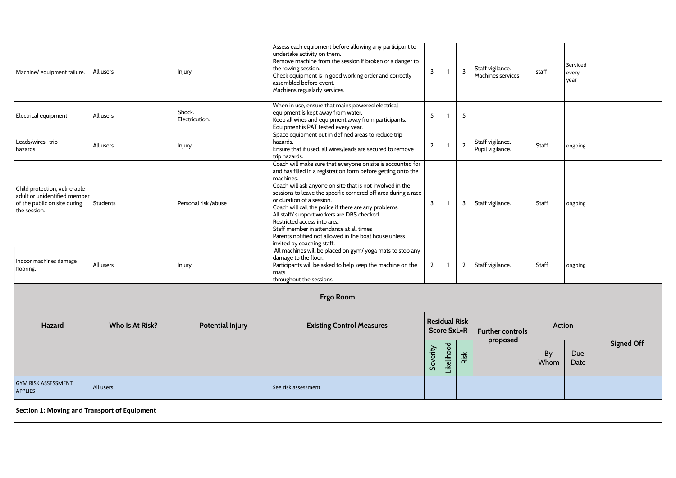|                                                              |                                              |                                                                                   | Assess each equipment before allowing any participant to<br>undertake activity on them.                                      |                |                                            |                         |                         |               |                   |                   |
|--------------------------------------------------------------|----------------------------------------------|-----------------------------------------------------------------------------------|------------------------------------------------------------------------------------------------------------------------------|----------------|--------------------------------------------|-------------------------|-------------------------|---------------|-------------------|-------------------|
| Machine/ equipment failure.                                  | All users                                    | Injury                                                                            | Remove machine from the session if broken or a danger to<br>the rowing session.                                              | 3              | -1                                         | $\overline{\mathbf{3}}$ | Staff vigilance.        | l staff       | Serviced<br>every |                   |
|                                                              |                                              | Check equipment is in good working order and correctly<br>assembled before event. |                                                                                                                              |                |                                            |                         | Machines services       |               | year              |                   |
|                                                              |                                              |                                                                                   | Machiens regualarly services.                                                                                                |                |                                            |                         |                         |               |                   |                   |
| Electrical equipment                                         | All users                                    | Shock.                                                                            | When in use, ensure that mains powered electrical<br>equipment is kept away from water.                                      | 5              |                                            | 5                       |                         |               |                   |                   |
|                                                              |                                              | Electricution.                                                                    | Keep all wires and equipment away from participants.<br>Equipment is PAT tested every year.                                  |                |                                            |                         |                         |               |                   |                   |
| Leads/wires-trip                                             | All users                                    |                                                                                   | Space equipment out in defined areas to reduce trip<br>hazards.                                                              | $\overline{2}$ |                                            | $\overline{2}$          | Staff vigilance.        | Staff         |                   |                   |
| hazards                                                      |                                              | Injury                                                                            | Ensure that if used, all wires/leads are secured to remove<br>trip hazards.                                                  |                |                                            |                         | Pupil vigilance.        |               | ongoing           |                   |
|                                                              |                                              |                                                                                   | Coach will make sure that everyone on site is accounted for<br>and has filled in a registration form before getting onto the |                |                                            |                         |                         |               |                   |                   |
|                                                              |                                              |                                                                                   | machines.<br>Coach will ask anyone on site that is not involved in the                                                       |                |                                            |                         |                         |               |                   |                   |
| Child protection, vulnerable<br>adult or unidentified member |                                              |                                                                                   | sessions to leave the specific cornered off area during a race<br>or duration of a session.                                  |                |                                            |                         |                         |               |                   |                   |
| of the public on site during<br>the session.                 | Students                                     | Personal risk /abuse                                                              | Coach will call the police if there are any problems.<br>All staff/ support workers are DBS checked                          | 3              | $\overline{1}$                             | $\overline{3}$          | Staff vigilance.        | Staff         | ongoing           |                   |
|                                                              |                                              |                                                                                   | Restricted access into area<br>Staff member in attendance at all times                                                       |                |                                            |                         |                         |               |                   |                   |
|                                                              |                                              |                                                                                   | Parents notified not allowed in the boat house unless<br>invited by coaching staff.                                          |                |                                            |                         |                         |               |                   |                   |
|                                                              |                                              |                                                                                   | All machines will be placed on gym/yoga mats to stop any<br>damage to the floor.                                             |                |                                            |                         |                         |               |                   |                   |
| Indoor machines damage<br>flooring.                          | All users                                    | Injury                                                                            | Participants will be asked to help keep the machine on the<br>mats                                                           | $\overline{2}$ | $\overline{1}$                             | $\overline{2}$          | Staff vigilance.        | Staff         | ongoing           |                   |
|                                                              |                                              |                                                                                   | throughout the sessions.                                                                                                     |                |                                            |                         |                         |               |                   |                   |
|                                                              |                                              |                                                                                   | <b>Ergo Room</b>                                                                                                             |                |                                            |                         |                         |               |                   |                   |
| Hazard                                                       | Who Is At Risk?                              | <b>Potential Injury</b>                                                           | <b>Existing Control Measures</b>                                                                                             |                | <b>Residual Risk</b><br><b>Score SxL=R</b> |                         | <b>Further controls</b> | <b>Action</b> |                   |                   |
|                                                              |                                              |                                                                                   |                                                                                                                              |                |                                            |                         | proposed                | By            | Due               | <b>Signed Off</b> |
|                                                              |                                              |                                                                                   |                                                                                                                              | Severity       | Likelihood                                 | Risk                    |                         | Whom          | Date              |                   |
| <b>GYM RISK ASSESSMENT</b><br><b>APPLIES</b>                 | All users                                    |                                                                                   | See risk assessment                                                                                                          |                |                                            |                         |                         |               |                   |                   |
|                                                              | Section 1: Moving and Transport of Equipment |                                                                                   |                                                                                                                              |                |                                            |                         |                         |               |                   |                   |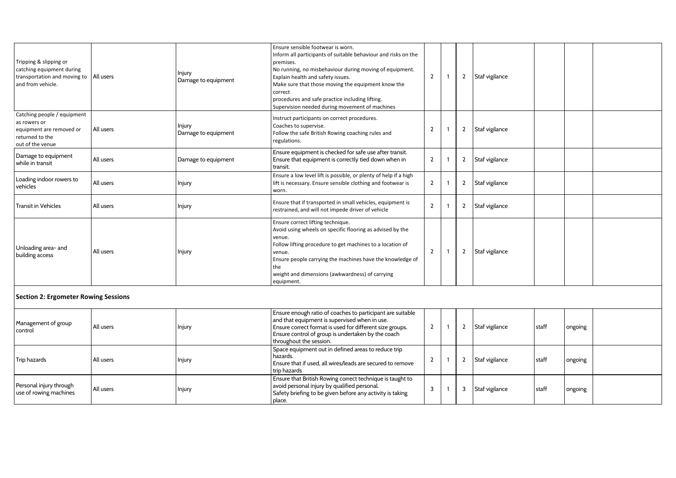| Tripping & slipping or<br>catching equipment during<br>transportation and moving to   All users<br>and from vehicle. |           | Injury<br>Damage to equipment | Ensure sensible footwear is worn.<br>Inform all participants of suitable behaviour and risks on the<br>premises.<br>No running, no misbehaviour during moving of equipment.<br>Explain health and safety issues.<br>Make sure that those moving the equipment know the<br>correct<br>procedures and safe practice including lifting.<br>Supervision needed during movement of machines | $\overline{2}$ |        | 2 Staf vigilance     |       |         |  |
|----------------------------------------------------------------------------------------------------------------------|-----------|-------------------------------|----------------------------------------------------------------------------------------------------------------------------------------------------------------------------------------------------------------------------------------------------------------------------------------------------------------------------------------------------------------------------------------|----------------|--------|----------------------|-------|---------|--|
| Catching people / equipment<br>as rowers or<br>equipment are removed or<br>returned to the<br>out of the venue       | All users | Injury<br>Damage to equipment | Instruct participants on correct procedures.<br>Coaches to supervise.<br>Follow the safe British Rowing coaching rules and<br>regulations.                                                                                                                                                                                                                                             | $\overline{2}$ |        | 2 Staf vigilance     |       |         |  |
| Damage to equipment<br>while in transit                                                                              | All users | Damage to equipment           | Ensure equipment is checked for safe use after transit.<br>Ensure that equipment is correctly tied down when in<br>transit.                                                                                                                                                                                                                                                            | $\overline{2}$ |        | 2 Staf vigilance     |       |         |  |
| Loading indoor rowers to<br>vehicles                                                                                 | All users | Injury                        | Ensure a low level lift is possible, or plenty of help if a high<br>lift is necessary. Ensure sensible clothing and footwear is<br>worn.                                                                                                                                                                                                                                               | $\overline{2}$ |        | 2 Staf vigilance     |       |         |  |
| Transit in Vehicles                                                                                                  | All users | Injury                        | Ensure that if transported in small vehicles, equipment is<br>restrained, and will not impede driver of vehicle                                                                                                                                                                                                                                                                        | $\mathbf{2}$   |        | 2 Staf vigilance     |       |         |  |
| Unloading area- and<br>building access                                                                               | All users | Injury                        | Ensure correct lifting technique.<br>Avoid using wheels on specific flooring as advised by the<br>venue.<br>Follow lifting procedure to get machines to a location of<br>venue.<br>Ensure people carrying the machines have the knowledge of<br>the<br>weight and dimensions (awkwardness) of carrying<br>equipment.                                                                   | $\overline{2}$ |        | 2 Staf vigilance     |       |         |  |
| <b>Section 2: Ergometer Rowing Sessions</b>                                                                          |           |                               |                                                                                                                                                                                                                                                                                                                                                                                        |                |        |                      |       |         |  |
| Management of group<br>control                                                                                       | All users | Injury                        | Ensure enough ratio of coaches to participant are suitable<br>and that equipment is supervised when in use.<br>Ensure correct format is used for different size groups.<br>Ensure control of group is undertaken by the coach<br>throughout the session.                                                                                                                               | $\overline{2}$ |        | 2 Staf vigilance     | staff | ongoing |  |
| The books of a                                                                                                       |           |                               | Space equipment out in defined areas to reduce trip<br>hazards.                                                                                                                                                                                                                                                                                                                        | $\sim$         | $\sim$ | وبالتسابيذ والمسترات |       |         |  |

Ensure that if used, all wires/leads are secured to remove

Ensure that British Rowing correct technique is taught to

Safety briefing to be given before any activity is taking

avoid personal injury by qualified personal.

2 1

3 1 2 Staf vigilance  $\left| \text{staff} \right|$  ongoing

3 Staf vigilance staff ongoing

trip hazards

place.

Trip hazards All users Injury

Personal injury through  $\begin{vmatrix} 1 & 0 \\ 0 & 1 \end{vmatrix}$  all users  $\begin{vmatrix} 1 & 1 \\ 0 & 1 \end{vmatrix}$  and  $\begin{vmatrix} 1 & 1 \\ 0 & 1 \end{vmatrix}$  and  $\begin{vmatrix} 1 & 1 \\ 0 & 1 \end{vmatrix}$  and  $\begin{vmatrix} 1 & 1 \\ 0 & 1 \end{vmatrix}$  and  $\begin{vmatrix} 1 & 1 \\ 0 & 1 \end{vmatrix}$  and  $\begin{vmatrix} 1 & 1$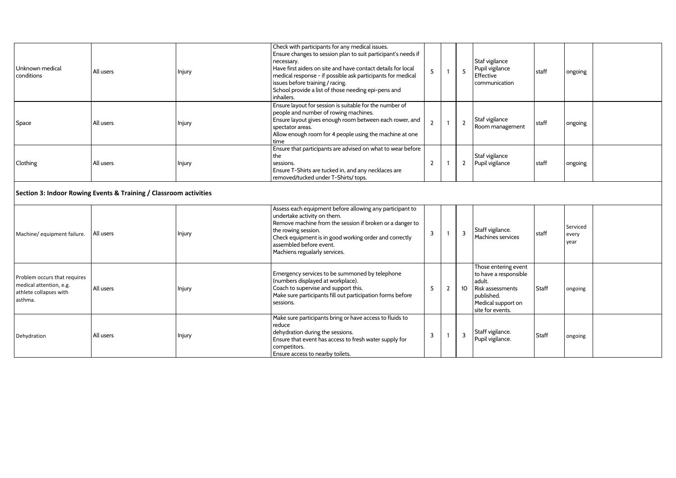| Unknown medical<br>conditions                                                                | All users                                                         | Injury | Check with participants for any medical issues.<br>Ensure changes to session plan to suit participant's needs if<br>necessary.<br>Have first aiders on site and have contact details for local<br>medical response - if possible ask participants for medical<br>issues before training / racing.<br>School provide a list of those needing epi-pens and<br>inhailers. | 5              | $\mathbf{1}$   | 5              | Staf vigilance<br>Pupil vigilance<br>Effective<br>communication                                                                     | staff   | ongoing                   |  |
|----------------------------------------------------------------------------------------------|-------------------------------------------------------------------|--------|------------------------------------------------------------------------------------------------------------------------------------------------------------------------------------------------------------------------------------------------------------------------------------------------------------------------------------------------------------------------|----------------|----------------|----------------|-------------------------------------------------------------------------------------------------------------------------------------|---------|---------------------------|--|
| Space                                                                                        | All users                                                         | Injury | Ensure layout for session is suitable for the number of<br>people and number of rowing machines.<br>Ensure layout gives enough room between each rower, and<br>spectator areas.<br>Allow enough room for 4 people using the machine at one<br>time                                                                                                                     | $\mathbf{2}$   | $\mathbf{1}$   | $\overline{2}$ | Staf vigilance<br>Room management                                                                                                   | staff   | ongoing                   |  |
| Clothing                                                                                     | All users                                                         | Injury | Ensure that participants are advised on what to wear before<br>the<br>sessions.<br>Ensure T-Shirts are tucked in, and any necklaces are<br>removed/tucked under T-Shirts/ tops.                                                                                                                                                                                        | $\overline{2}$ | -1             | $\overline{2}$ | Staf vigilance<br>Pupil vigilance                                                                                                   | staff   | ongoing                   |  |
|                                                                                              | Section 3: Indoor Rowing Events & Training / Classroom activities |        |                                                                                                                                                                                                                                                                                                                                                                        |                |                |                |                                                                                                                                     |         |                           |  |
| Machine/ equipment failure.                                                                  | All users                                                         | Injury | Assess each equipment before allowing any participant to<br>undertake activity on them.<br>Remove machine from the session if broken or a danger to<br>the rowing session.<br>Check equipment is in good working order and correctly<br>assembled before event.<br>Machiens regualarly services.                                                                       | $\overline{3}$ | $\mathbf{1}$   | 3              | Staff vigilance.<br>Machines services                                                                                               | staff   | Serviced<br>every<br>vear |  |
| Problem occurs that requires<br>medical attention, e.g.<br>athlete collapses with<br>asthma. | All users                                                         | Injury | Emergency services to be summoned by telephone<br>(numbers displayed at workplace).<br>Coach to supervise and support this.<br>Make sure participants fill out participation forms before<br>sessions.                                                                                                                                                                 | 5              | $\overline{2}$ | 10             | Those entering event<br>to have a responsible<br>adult.<br>Risk assessments<br>published.<br>Medical support on<br>site for events. | l Staff | ongoing                   |  |
| Dehydration                                                                                  | All users                                                         | Injury | Make sure participants bring or have access to fluids to<br>reduce<br>dehydration during the sessions.<br>Ensure that event has access to fresh water supply for<br>competitors.<br>Ensure access to nearby toilets.                                                                                                                                                   | 3              | $\mathbf{1}$   | 3              | Staff vigilance.<br>Pupil vigilance.                                                                                                | l Staff | ongoing                   |  |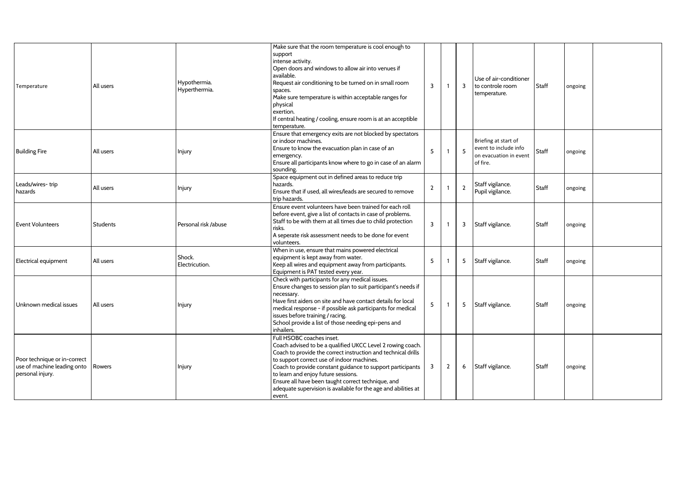| Temperature                                                                              | All users       | Hypothermia.<br>Hyperthermia. | Make sure that the room temperature is cool enough to<br>support<br>intense activity.<br>Open doors and windows to allow air into venues if<br>available.<br>Request air conditioning to be turned on in small room<br>spaces.<br>Make sure temperature is within acceptable ranges for<br>physical<br>exertion.<br>If central heating / cooling, ensure room is at an acceptible<br>temperature.                                             | $\overline{3}$ | 1              | 3              | Use of air-conditioner<br>to controle room<br>temperature.                          | <b>Staff</b> | ongoing |  |
|------------------------------------------------------------------------------------------|-----------------|-------------------------------|-----------------------------------------------------------------------------------------------------------------------------------------------------------------------------------------------------------------------------------------------------------------------------------------------------------------------------------------------------------------------------------------------------------------------------------------------|----------------|----------------|----------------|-------------------------------------------------------------------------------------|--------------|---------|--|
| <b>Building Fire</b>                                                                     | All users       | Injury                        | Ensure that emergency exits are not blocked by spectators<br>or indoor machines.<br>Ensure to know the evacuation plan in case of an<br>emergency.<br>Ensure all participants know where to go in case of an alarm<br>sounding.                                                                                                                                                                                                               | 5              | $\mathbf{1}$   | 5              | Briefing at start of<br>event to include info<br>on evacuation in event<br>of fire. | <b>Staff</b> | ongoing |  |
| Leads/wires-trip<br>hazards                                                              | All users       | Injury                        | Space equipment out in defined areas to reduce trip<br>hazards.<br>Ensure that if used, all wires/leads are secured to remove<br>trip hazards.                                                                                                                                                                                                                                                                                                | $\overline{2}$ |                | $\overline{2}$ | Staff vigilance.<br>Pupil vigilance.                                                | Staff        | ongoing |  |
| <b>Event Volunteers</b>                                                                  | <b>Students</b> | Personal risk /abuse          | Ensure event volunteers have been trained for each roll<br>before event, give a list of contacts in case of problems.<br>Staff to be with them at all times due to child protection<br>risks.<br>A seperate risk assessment needs to be done for event<br>volunteers.                                                                                                                                                                         | $\overline{3}$ |                | 3              | Staff vigilance.                                                                    | Staff        | ongoing |  |
| Electrical equipment                                                                     | All users       | Shock.<br>Electricution.      | When in use, ensure that mains powered electrical<br>equipment is kept away from water.<br>Keep all wires and equipment away from participants.<br>Equipment is PAT tested every year.                                                                                                                                                                                                                                                        | 5              |                | 5              | Staff vigilance.                                                                    | Staff        | ongoing |  |
| Unknown medical issues                                                                   | All users       | Injury                        | Check with participants for any medical issues.<br>Ensure changes to session plan to suit participant's needs if<br>necessary.<br>Have first aiders on site and have contact details for local<br>medical response - if possible ask participants for medical<br>issues before training / racing.<br>School provide a list of those needing epi-pens and<br>inhailers.                                                                        | 5 <sup>5</sup> | -1             | 5              | Staff vigilance.                                                                    | Staff        | ongoing |  |
| Poor technique or in-correct<br>use of machine leading onto   Rowers<br>personal injury. |                 | Injury                        | Full HSOBC coaches inset.<br>Coach advised to be a qualified UKCC Level 2 rowing coach.<br>Coach to provide the correct instruction and technical drills<br>to support correct use of indoor machines.<br>Coach to provide constant guidance to support participants<br>to learn and enjoy future sessions.<br>Ensure all have been taught correct technique, and<br>adequate supervision is available for the age and abilities at<br>event. | $\overline{3}$ | $\overline{2}$ | 6              | Staff vigilance.                                                                    | Staff        | ongoing |  |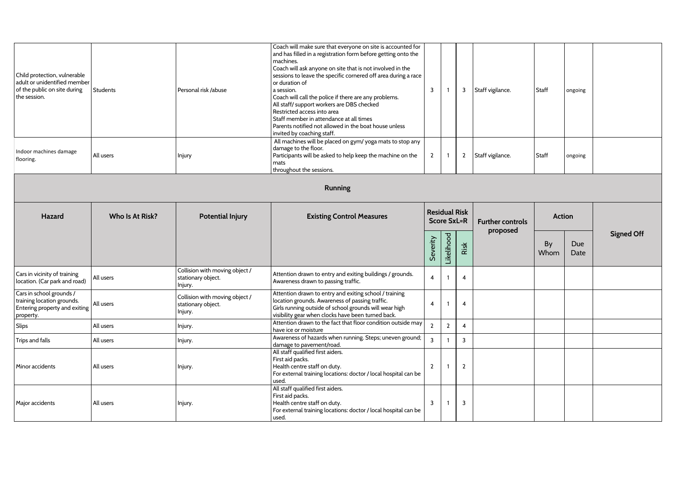| Students        | Personal risk /abuse                                            | and has filled in a registration form before getting onto the<br>machines.<br>Coach will ask anyone on site that is not involved in the<br>sessions to leave the specific cornered off area during a race<br>or duration of<br>a session.<br>Coach will call the police if there are any problems.<br>All staff/ support workers are DBS checked<br>Restricted access into area<br>Staff member in attendance at all times<br>Parents notified not allowed in the boat house unless<br>invited by coaching staff. | $\overline{3}$                                                                                                                                                                                                           | $\overline{1}$          | 3              | Staff vigilance.        | Staff         | ongoing            |                   |
|-----------------|-----------------------------------------------------------------|-------------------------------------------------------------------------------------------------------------------------------------------------------------------------------------------------------------------------------------------------------------------------------------------------------------------------------------------------------------------------------------------------------------------------------------------------------------------------------------------------------------------|--------------------------------------------------------------------------------------------------------------------------------------------------------------------------------------------------------------------------|-------------------------|----------------|-------------------------|---------------|--------------------|-------------------|
| All users       | Injury                                                          | damage to the floor.<br>Participants will be asked to help keep the machine on the<br>mats<br>throughout the sessions.                                                                                                                                                                                                                                                                                                                                                                                            | $\overline{2}$                                                                                                                                                                                                           | $\overline{1}$          | $\overline{2}$ | Staff vigilance.        | Staff         | ongoing            |                   |
|                 |                                                                 | Running                                                                                                                                                                                                                                                                                                                                                                                                                                                                                                           |                                                                                                                                                                                                                          |                         |                |                         |               |                    |                   |
| Who Is At Risk? | <b>Potential Injury</b>                                         | <b>Existing Control Measures</b>                                                                                                                                                                                                                                                                                                                                                                                                                                                                                  | <b>Residual Risk</b><br><b>Score SxL=R</b>                                                                                                                                                                               |                         |                | <b>Further controls</b> | <b>Action</b> |                    |                   |
|                 |                                                                 |                                                                                                                                                                                                                                                                                                                                                                                                                                                                                                                   | Severity                                                                                                                                                                                                                 | Likelihood              | Risk           |                         | By<br>Whom    | <b>Due</b><br>Date | <b>Signed Off</b> |
| All users       | Collision with moving object /<br>stationary object.<br>Injury. | Attention drawn to entry and exiting buildings / grounds.<br>Awareness drawn to passing traffic.                                                                                                                                                                                                                                                                                                                                                                                                                  | $\overline{4}$                                                                                                                                                                                                           | $\overline{\mathbf{1}}$ | 4              |                         |               |                    |                   |
| All users       | Collision with moving object /<br>stationary object.<br>Injury. | Attention drawn to entry and exiting school / training<br>location grounds. Awareness of passing traffic.<br>Girls running outside of school grounds will wear high<br>visibility gear when clocks have been turned back.                                                                                                                                                                                                                                                                                         | $\overline{4}$                                                                                                                                                                                                           | $\overline{\mathbf{1}}$ | 4              |                         |               |                    |                   |
| All users       | Injury.                                                         | Attention drawn to the fact that floor condition outside may<br>have ice or moisture                                                                                                                                                                                                                                                                                                                                                                                                                              | $\overline{2}$                                                                                                                                                                                                           | $\overline{2}$          | $\overline{4}$ |                         |               |                    |                   |
| All users       | Injury.                                                         | damage to pavement/road.                                                                                                                                                                                                                                                                                                                                                                                                                                                                                          | $\overline{3}$                                                                                                                                                                                                           | $\overline{1}$          | 3              |                         |               |                    |                   |
| All users       | Injury.                                                         | All staff qualified first aiders.<br>First aid packs.<br>Health centre staff on duty.<br>For external training locations: doctor / local hospital can be<br>used.                                                                                                                                                                                                                                                                                                                                                 | $\overline{2}$                                                                                                                                                                                                           | $\overline{1}$          | $\overline{2}$ |                         |               |                    |                   |
| All users       | Injury.                                                         | First aid packs.<br>Health centre staff on duty.<br>For external training locations: doctor / local hospital can be<br>used.                                                                                                                                                                                                                                                                                                                                                                                      | 3                                                                                                                                                                                                                        | $\overline{1}$          | 3              |                         |               |                    |                   |
|                 | adult or unidentified member<br>Entering property and exiting   |                                                                                                                                                                                                                                                                                                                                                                                                                                                                                                                   | Coach will make sure that everyone on site is accounted for<br>All machines will be placed on gym/yoga mats to stop any<br>Awareness of hazards when running. Steps; uneven ground;<br>All staff qualified first aiders. |                         |                |                         | proposed      |                    |                   |